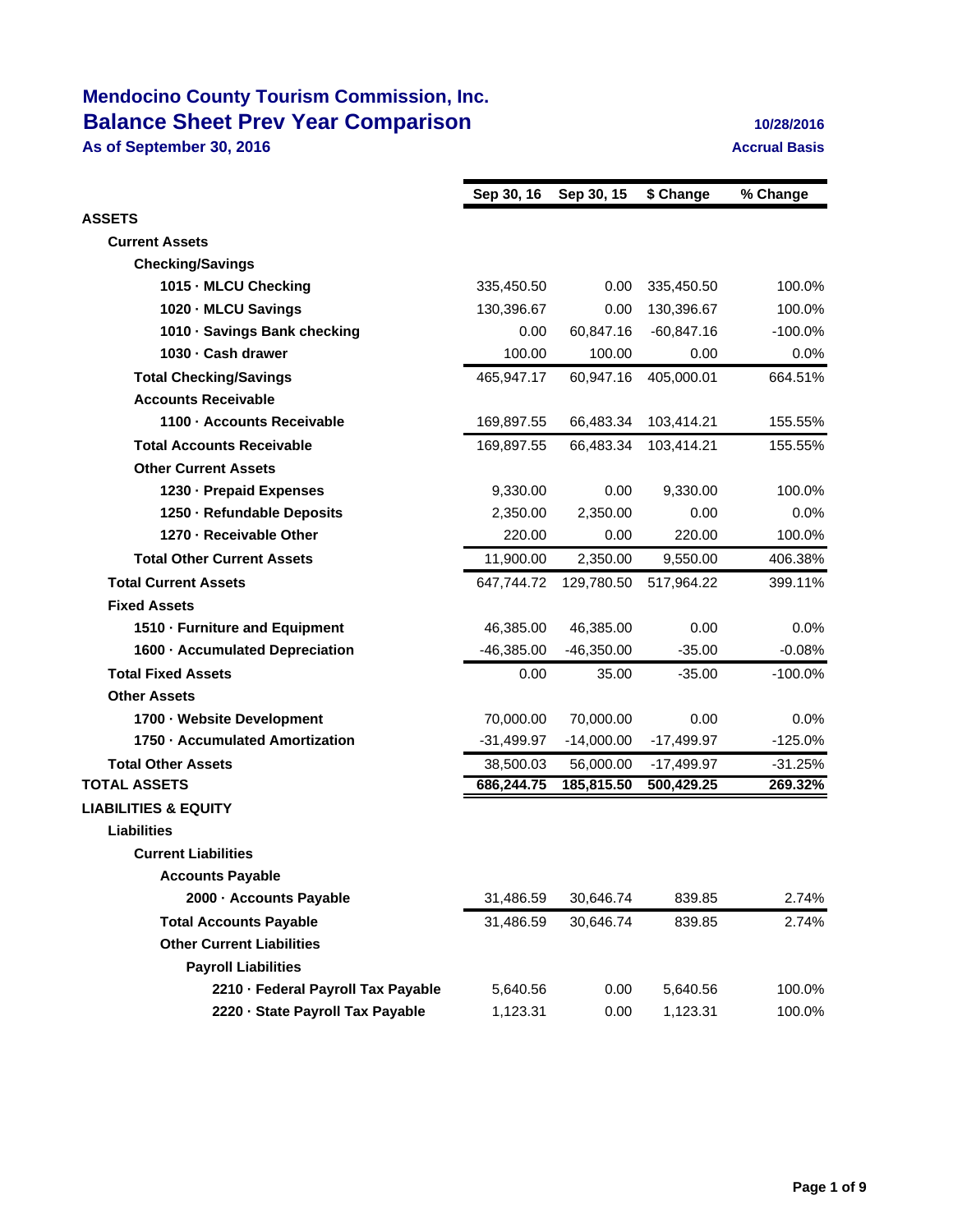# **Mendocino County Tourism Commission, Inc. Balance Sheet Prev Year Comparison 10/28/2016**

**As of September 30, 2016 Accrual Basis Accrual Basis** 

|                                    | Sep 30, 16   | Sep 30, 15   | \$ Change    | % Change   |
|------------------------------------|--------------|--------------|--------------|------------|
| <b>ASSETS</b>                      |              |              |              |            |
| <b>Current Assets</b>              |              |              |              |            |
| <b>Checking/Savings</b>            |              |              |              |            |
| 1015 - MLCU Checking               | 335,450.50   | 0.00         | 335,450.50   | 100.0%     |
| 1020 - MLCU Savings                | 130,396.67   | 0.00         | 130,396.67   | 100.0%     |
| 1010 - Savings Bank checking       | 0.00         | 60,847.16    | $-60,847.16$ | $-100.0\%$ |
| 1030 - Cash drawer                 | 100.00       | 100.00       | 0.00         | 0.0%       |
| <b>Total Checking/Savings</b>      | 465,947.17   | 60,947.16    | 405,000.01   | 664.51%    |
| <b>Accounts Receivable</b>         |              |              |              |            |
| 1100 - Accounts Receivable         | 169,897.55   | 66,483.34    | 103,414.21   | 155.55%    |
| <b>Total Accounts Receivable</b>   | 169,897.55   | 66,483.34    | 103,414.21   | 155.55%    |
| <b>Other Current Assets</b>        |              |              |              |            |
| 1230 - Prepaid Expenses            | 9,330.00     | 0.00         | 9,330.00     | 100.0%     |
| 1250 - Refundable Deposits         | 2,350.00     | 2,350.00     | 0.00         | $0.0\%$    |
| 1270 - Receivable Other            | 220.00       | 0.00         | 220.00       | 100.0%     |
| <b>Total Other Current Assets</b>  | 11,900.00    | 2,350.00     | 9,550.00     | 406.38%    |
| <b>Total Current Assets</b>        | 647,744.72   | 129,780.50   | 517,964.22   | 399.11%    |
| <b>Fixed Assets</b>                |              |              |              |            |
| 1510 - Furniture and Equipment     | 46,385.00    | 46,385.00    | 0.00         | $0.0\%$    |
| 1600 Accumulated Depreciation      | $-46,385.00$ | $-46,350.00$ | $-35.00$     | $-0.08%$   |
| <b>Total Fixed Assets</b>          | 0.00         | 35.00        | $-35.00$     | $-100.0%$  |
| <b>Other Assets</b>                |              |              |              |            |
| 1700 - Website Development         | 70,000.00    | 70,000.00    | 0.00         | $0.0\%$    |
| 1750 Accumulated Amortization      | $-31,499.97$ | $-14,000.00$ | $-17,499.97$ | $-125.0%$  |
| <b>Total Other Assets</b>          | 38,500.03    | 56,000.00    | $-17,499.97$ | $-31.25%$  |
| <b>TOTAL ASSETS</b>                | 686,244.75   | 185,815.50   | 500,429.25   | 269.32%    |
| <b>LIABILITIES &amp; EQUITY</b>    |              |              |              |            |
| Liabilities                        |              |              |              |            |
| <b>Current Liabilities</b>         |              |              |              |            |
| <b>Accounts Payable</b>            |              |              |              |            |
| 2000 - Accounts Payable            | 31,486.59    | 30,646.74    | 839.85       | 2.74%      |
| <b>Total Accounts Payable</b>      | 31,486.59    | 30,646.74    | 839.85       | 2.74%      |
| <b>Other Current Liabilities</b>   |              |              |              |            |
| <b>Payroll Liabilities</b>         |              |              |              |            |
| 2210 · Federal Payroll Tax Payable | 5,640.56     | 0.00         | 5,640.56     | 100.0%     |
| 2220 · State Payroll Tax Payable   | 1,123.31     | 0.00         | 1,123.31     | 100.0%     |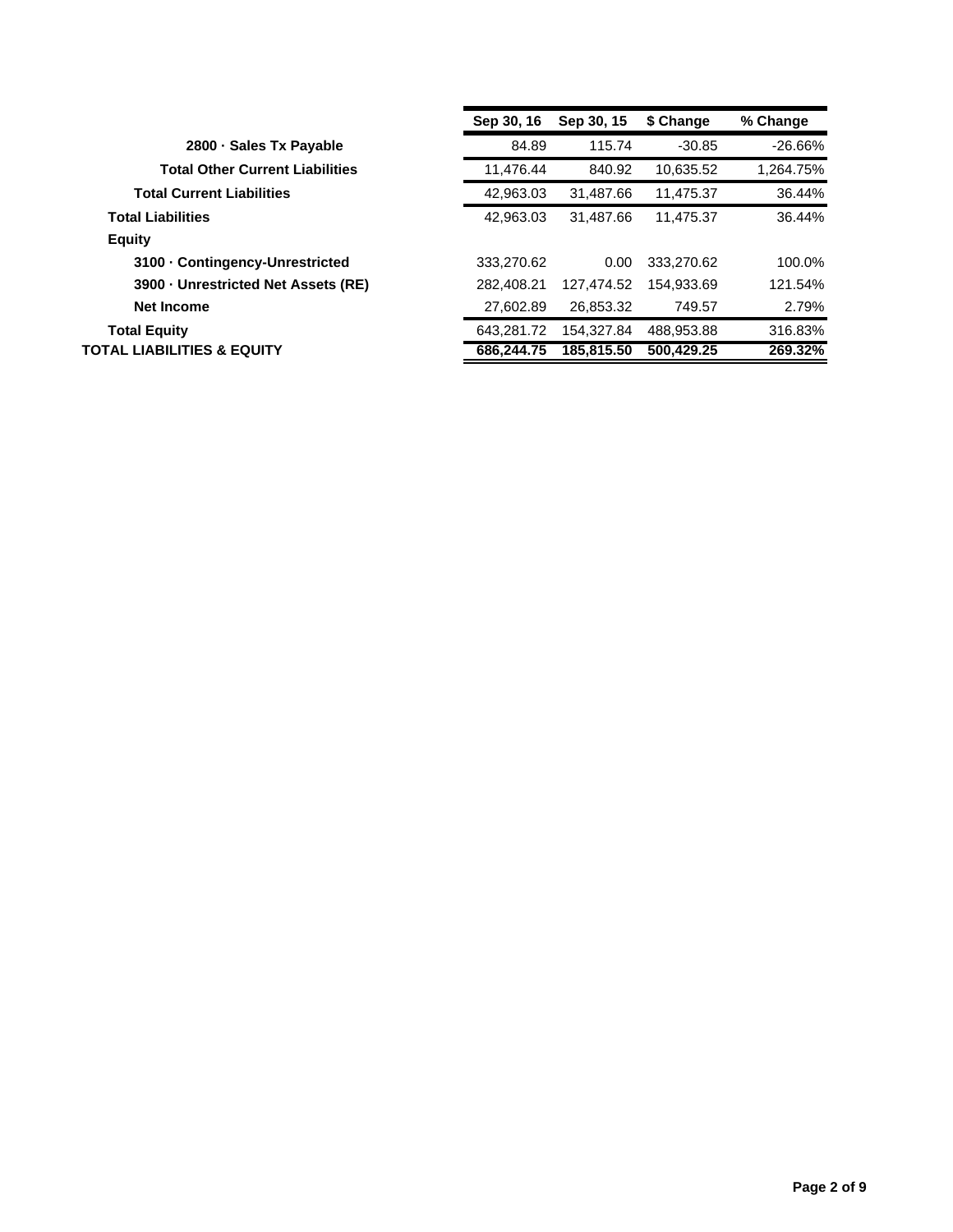|                                        | Sep 30, 16 | Sep 30, 15 | \$ Change  | % Change  |
|----------------------------------------|------------|------------|------------|-----------|
| 2800 Sales Tx Payable                  | 84.89      | 115.74     | $-30.85$   | $-26.66%$ |
| <b>Total Other Current Liabilities</b> | 11.476.44  | 840.92     | 10,635.52  | 1.264.75% |
| <b>Total Current Liabilities</b>       | 42,963.03  | 31,487.66  | 11,475.37  | 36.44%    |
| <b>Total Liabilities</b>               | 42.963.03  | 31.487.66  | 11.475.37  | 36.44%    |
| <b>Equity</b>                          |            |            |            |           |
| 3100 Contingency-Unrestricted          | 333.270.62 | 0.00       | 333.270.62 | 100.0%    |
| 3900 Unrestricted Net Assets (RE)      | 282.408.21 | 127.474.52 | 154.933.69 | 121.54%   |
| <b>Net Income</b>                      | 27,602.89  | 26,853.32  | 749.57     | 2.79%     |
| <b>Total Equity</b>                    | 643.281.72 | 154.327.84 | 488.953.88 | 316.83%   |
| <b>TOTAL LIABILITIES &amp; EQUITY</b>  | 686.244.75 | 185.815.50 | 500.429.25 | 269.32%   |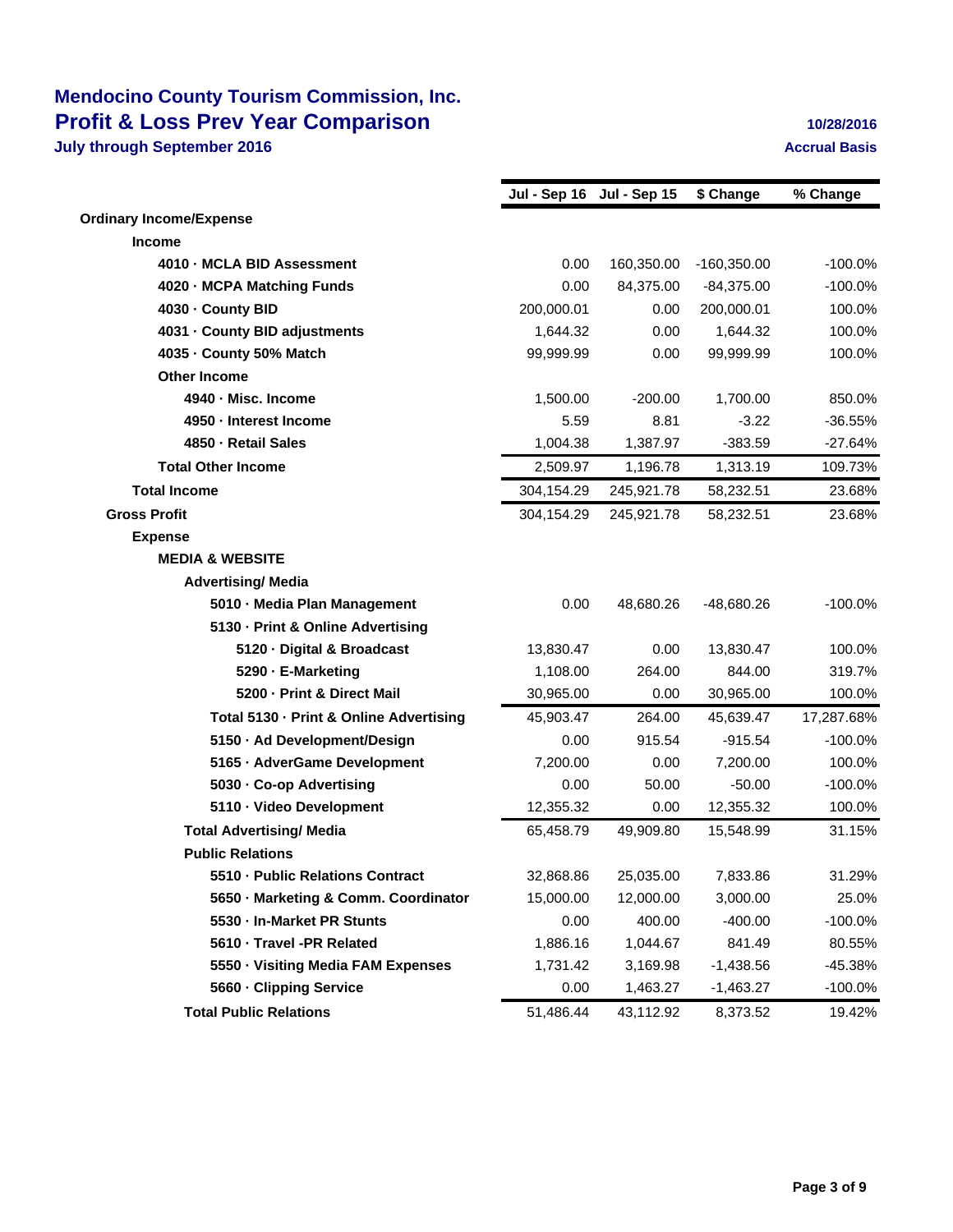### **Mendocino County Tourism Commission, Inc. Profit & Loss Prev Year Comparison 10/28/2016 July through September 2016 Accrual Basis Accrual Basis Accrual Basis**

|                                         | Jul - Sep 16 Jul - Sep 15 |            | \$ Change     | % Change   |
|-----------------------------------------|---------------------------|------------|---------------|------------|
| <b>Ordinary Income/Expense</b>          |                           |            |               |            |
| <b>Income</b>                           |                           |            |               |            |
| 4010 - MCLA BID Assessment              | 0.00                      | 160,350.00 | $-160,350.00$ | $-100.0%$  |
| 4020 - MCPA Matching Funds              | 0.00                      | 84,375.00  | $-84,375.00$  | $-100.0%$  |
| 4030 - County BID                       | 200,000.01                | 0.00       | 200,000.01    | 100.0%     |
| 4031 - County BID adjustments           | 1,644.32                  | 0.00       | 1,644.32      | 100.0%     |
| 4035 - County 50% Match                 | 99,999.99                 | 0.00       | 99,999.99     | 100.0%     |
| <b>Other Income</b>                     |                           |            |               |            |
| 4940 - Misc. Income                     | 1,500.00                  | $-200.00$  | 1,700.00      | 850.0%     |
| 4950 Interest Income                    | 5.59                      | 8.81       | $-3.22$       | $-36.55%$  |
| 4850 - Retail Sales                     | 1,004.38                  | 1,387.97   | $-383.59$     | $-27.64%$  |
| <b>Total Other Income</b>               | 2,509.97                  | 1,196.78   | 1,313.19      | 109.73%    |
| <b>Total Income</b>                     | 304,154.29                | 245,921.78 | 58,232.51     | 23.68%     |
| <b>Gross Profit</b>                     | 304,154.29                | 245,921.78 | 58,232.51     | 23.68%     |
| <b>Expense</b>                          |                           |            |               |            |
| <b>MEDIA &amp; WEBSITE</b>              |                           |            |               |            |
| <b>Advertising/ Media</b>               |                           |            |               |            |
| 5010 - Media Plan Management            | 0.00                      | 48,680.26  | -48,680.26    | $-100.0%$  |
| 5130 - Print & Online Advertising       |                           |            |               |            |
| 5120 Digital & Broadcast                | 13,830.47                 | 0.00       | 13,830.47     | 100.0%     |
| 5290 E-Marketing                        | 1,108.00                  | 264.00     | 844.00        | 319.7%     |
| 5200 - Print & Direct Mail              | 30,965.00                 | 0.00       | 30,965.00     | 100.0%     |
| Total 5130 - Print & Online Advertising | 45,903.47                 | 264.00     | 45,639.47     | 17,287.68% |
| 5150 · Ad Development/Design            | 0.00                      | 915.54     | $-915.54$     | $-100.0%$  |
| 5165 - AdverGame Development            | 7,200.00                  | 0.00       | 7,200.00      | 100.0%     |
| 5030 - Co-op Advertising                | 0.00                      | 50.00      | $-50.00$      | $-100.0%$  |
| 5110 · Video Development                | 12,355.32                 | 0.00       | 12,355.32     | 100.0%     |
| <b>Total Advertising/ Media</b>         | 65,458.79                 | 49,909.80  | 15,548.99     | 31.15%     |
| <b>Public Relations</b>                 |                           |            |               |            |
| 5510 - Public Relations Contract        | 32,868.86                 | 25,035.00  | 7,833.86      | 31.29%     |
| 5650 Marketing & Comm. Coordinator      | 15,000.00                 | 12,000.00  | 3,000.00      | 25.0%      |
| 5530 - In-Market PR Stunts              | 0.00                      | 400.00     | $-400.00$     | $-100.0%$  |
| 5610 - Travel -PR Related               | 1,886.16                  | 1,044.67   | 841.49        | 80.55%     |
| 5550 - Visiting Media FAM Expenses      | 1,731.42                  | 3,169.98   | $-1,438.56$   | -45.38%    |
| 5660 - Clipping Service                 | 0.00                      | 1,463.27   | -1,463.27     | $-100.0\%$ |
| <b>Total Public Relations</b>           | 51,486.44                 | 43,112.92  | 8,373.52      | 19.42%     |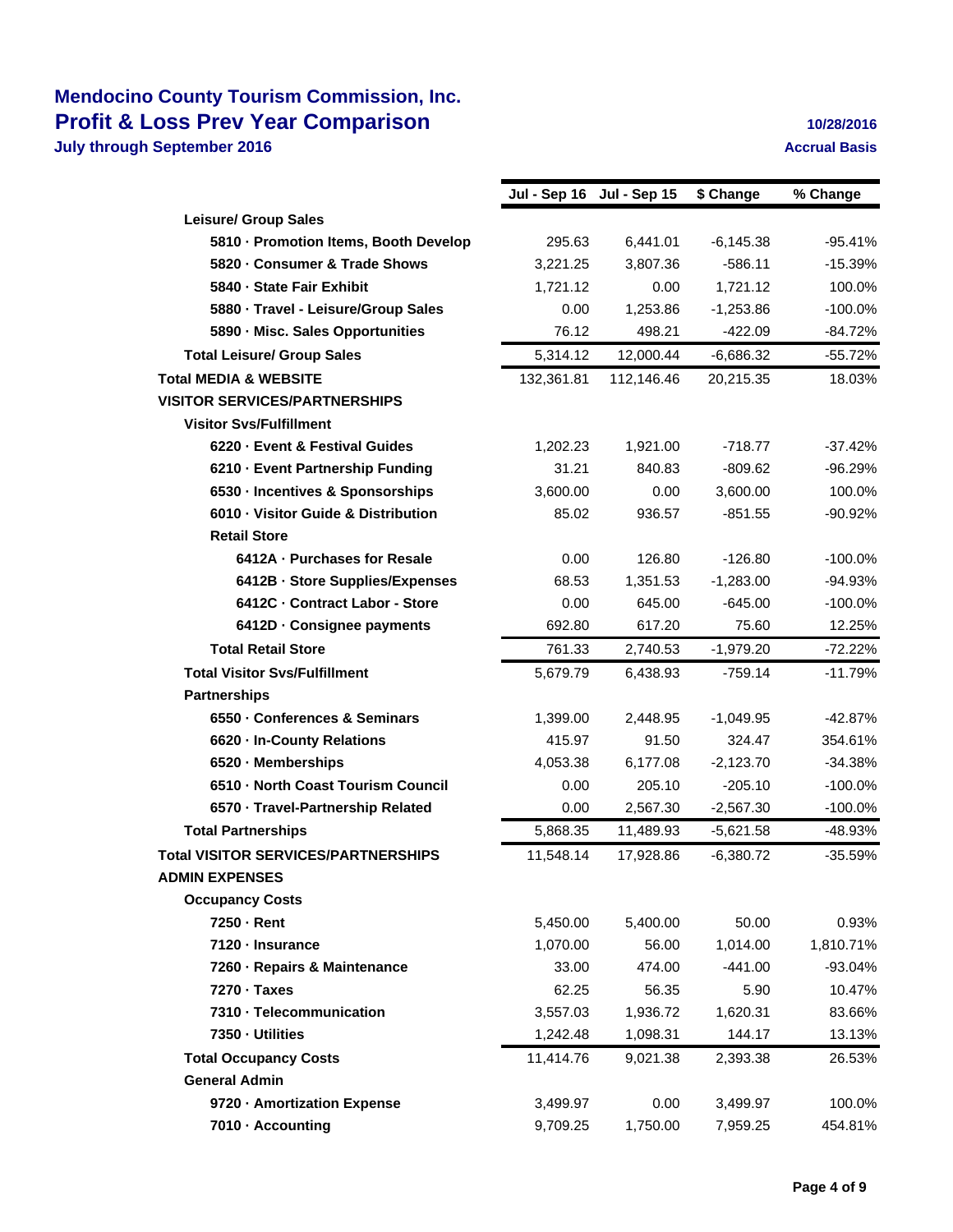### **Mendocino County Tourism Commission, Inc. Profit & Loss Prev Year Comparison 10/28/2016 July through September 2016 Accrual Basis Accrual Basis Accrual Basis**

|                                            |            | Jul - Sep 16 Jul - Sep 15 | \$ Change   | % Change  |
|--------------------------------------------|------------|---------------------------|-------------|-----------|
| <b>Leisure/ Group Sales</b>                |            |                           |             |           |
| 5810 - Promotion Items, Booth Develop      | 295.63     | 6,441.01                  | $-6,145.38$ | $-95.41%$ |
| 5820 - Consumer & Trade Shows              | 3,221.25   | 3,807.36                  | $-586.11$   | $-15.39%$ |
| 5840 - State Fair Exhibit                  | 1,721.12   | 0.00                      | 1,721.12    | 100.0%    |
| 5880 - Travel - Leisure/Group Sales        | 0.00       | 1,253.86                  | $-1,253.86$ | $-100.0%$ |
| 5890 - Misc. Sales Opportunities           | 76.12      | 498.21                    | $-422.09$   | $-84.72%$ |
| <b>Total Leisure/ Group Sales</b>          | 5,314.12   | 12,000.44                 | $-6,686.32$ | $-55.72%$ |
| <b>Total MEDIA &amp; WEBSITE</b>           | 132,361.81 | 112,146.46                | 20,215.35   | 18.03%    |
| <b>VISITOR SERVICES/PARTNERSHIPS</b>       |            |                           |             |           |
| <b>Visitor Svs/Fulfillment</b>             |            |                           |             |           |
| 6220 - Event & Festival Guides             | 1,202.23   | 1,921.00                  | $-718.77$   | $-37.42%$ |
| 6210 - Event Partnership Funding           | 31.21      | 840.83                    | $-809.62$   | $-96.29%$ |
| 6530 - Incentives & Sponsorships           | 3,600.00   | 0.00                      | 3,600.00    | 100.0%    |
| 6010 - Visitor Guide & Distribution        | 85.02      | 936.57                    | $-851.55$   | -90.92%   |
| <b>Retail Store</b>                        |            |                           |             |           |
| 6412A - Purchases for Resale               | 0.00       | 126.80                    | $-126.80$   | $-100.0%$ |
| 6412B - Store Supplies/Expenses            | 68.53      | 1,351.53                  | $-1,283.00$ | $-94.93%$ |
| 6412C - Contract Labor - Store             | 0.00       | 645.00                    | $-645.00$   | $-100.0%$ |
| 6412D - Consignee payments                 | 692.80     | 617.20                    | 75.60       | 12.25%    |
| <b>Total Retail Store</b>                  | 761.33     | 2,740.53                  | $-1,979.20$ | $-72.22%$ |
| <b>Total Visitor Svs/Fulfillment</b>       | 5,679.79   | 6,438.93                  | $-759.14$   | $-11.79%$ |
| <b>Partnerships</b>                        |            |                           |             |           |
| 6550 - Conferences & Seminars              | 1,399.00   | 2,448.95                  | $-1,049.95$ | $-42.87%$ |
| 6620 - In-County Relations                 | 415.97     | 91.50                     | 324.47      | 354.61%   |
| 6520 - Memberships                         | 4,053.38   | 6,177.08                  | $-2,123.70$ | $-34.38%$ |
| 6510 - North Coast Tourism Council         | 0.00       | 205.10                    | $-205.10$   | $-100.0%$ |
| 6570 · Travel-Partnership Related          | 0.00       | 2,567.30                  | $-2,567.30$ | $-100.0%$ |
| <b>Total Partnerships</b>                  | 5,868.35   | 11,489.93                 | $-5,621.58$ | -48.93%   |
| <b>Total VISITOR SERVICES/PARTNERSHIPS</b> | 11,548.14  | 17.928.86                 | $-6,380.72$ | $-35.59%$ |
| <b>ADMIN EXPENSES</b>                      |            |                           |             |           |
| <b>Occupancy Costs</b>                     |            |                           |             |           |
| 7250 - Rent                                | 5,450.00   | 5,400.00                  | 50.00       | 0.93%     |
| 7120 - Insurance                           | 1,070.00   | 56.00                     | 1,014.00    | 1,810.71% |
| 7260 - Repairs & Maintenance               | 33.00      | 474.00                    | $-441.00$   | $-93.04%$ |
| 7270 - Taxes                               | 62.25      | 56.35                     | 5.90        | 10.47%    |
| 7310 - Telecommunication                   | 3,557.03   | 1,936.72                  | 1,620.31    | 83.66%    |
| 7350 - Utilities                           | 1,242.48   | 1,098.31                  | 144.17      | 13.13%    |
| <b>Total Occupancy Costs</b>               | 11,414.76  | 9,021.38                  | 2,393.38    | 26.53%    |
| <b>General Admin</b>                       |            |                           |             |           |
| 9720 - Amortization Expense                | 3,499.97   | 0.00                      | 3,499.97    | 100.0%    |
| 7010 - Accounting                          | 9,709.25   | 1,750.00                  | 7,959.25    | 454.81%   |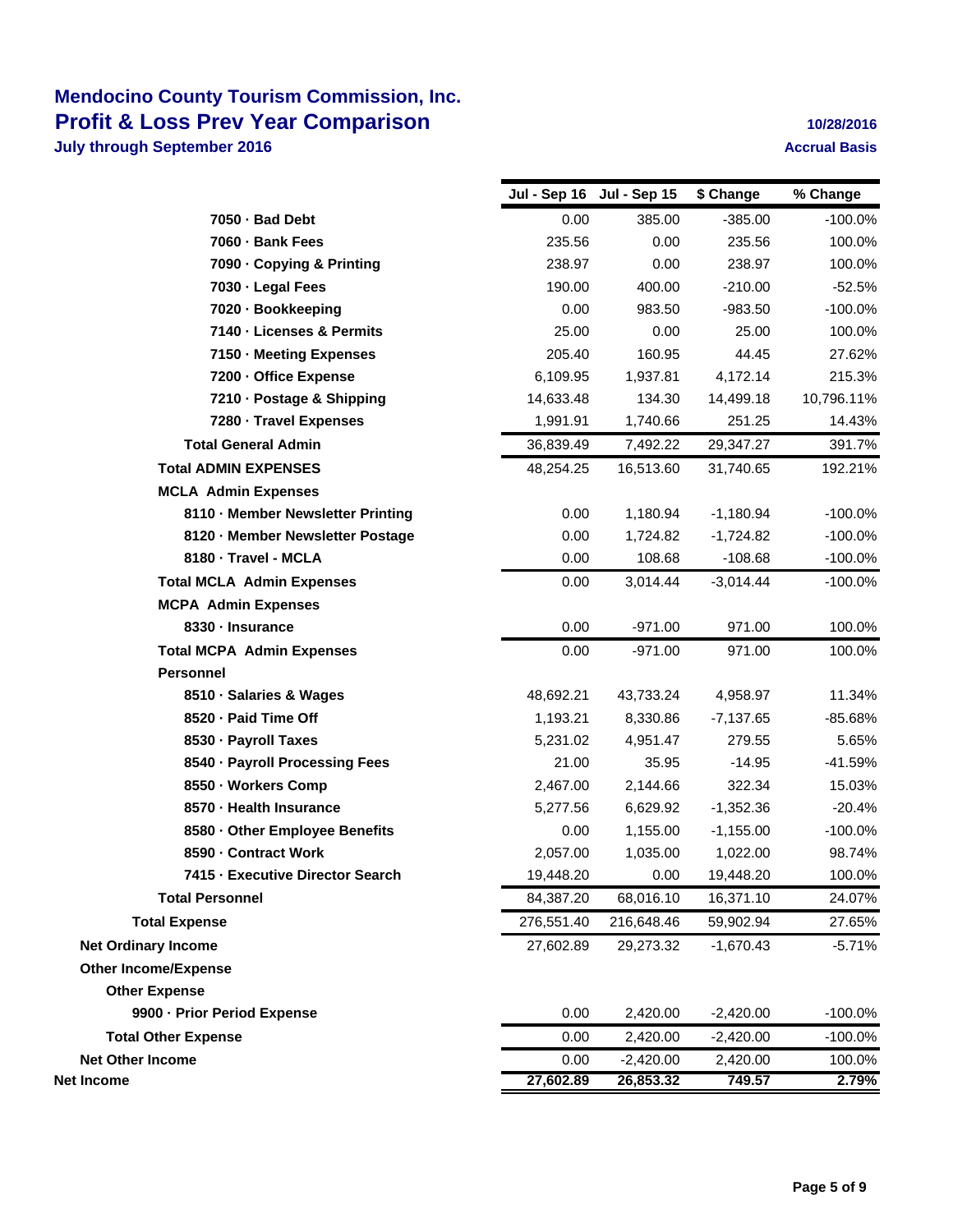### **Mendocino County Tourism Commission, Inc. Profit & Loss Prev Year Comparison 10/28/2016 July through September 2016 Accrual Basis Accrual Basis Accrual Basis**

|                                   |            | Jul - Sep 16 Jul - Sep 15 | \$ Change   | % Change   |
|-----------------------------------|------------|---------------------------|-------------|------------|
| 7050 - Bad Debt                   | 0.00       | 385.00                    | $-385.00$   | $-100.0%$  |
| 7060 - Bank Fees                  | 235.56     | 0.00                      | 235.56      | 100.0%     |
| 7090 - Copying & Printing         | 238.97     | 0.00                      | 238.97      | 100.0%     |
| 7030 - Legal Fees                 | 190.00     | 400.00                    | $-210.00$   | $-52.5%$   |
| 7020 - Bookkeeping                | 0.00       | 983.50                    | $-983.50$   | $-100.0%$  |
| 7140 - Licenses & Permits         | 25.00      | 0.00                      | 25.00       | 100.0%     |
| 7150 - Meeting Expenses           | 205.40     | 160.95                    | 44.45       | 27.62%     |
| 7200 - Office Expense             | 6,109.95   | 1,937.81                  | 4,172.14    | 215.3%     |
| 7210 - Postage & Shipping         | 14,633.48  | 134.30                    | 14,499.18   | 10,796.11% |
| 7280 - Travel Expenses            | 1,991.91   | 1,740.66                  | 251.25      | 14.43%     |
| <b>Total General Admin</b>        | 36,839.49  | 7,492.22                  | 29,347.27   | 391.7%     |
| <b>Total ADMIN EXPENSES</b>       | 48,254.25  | 16,513.60                 | 31,740.65   | 192.21%    |
| <b>MCLA Admin Expenses</b>        |            |                           |             |            |
| 8110 - Member Newsletter Printing | 0.00       | 1,180.94                  | $-1,180.94$ | $-100.0%$  |
| 8120 - Member Newsletter Postage  | 0.00       | 1,724.82                  | $-1,724.82$ | $-100.0%$  |
| 8180 - Travel - MCLA              | 0.00       | 108.68                    | $-108.68$   | $-100.0%$  |
| <b>Total MCLA Admin Expenses</b>  | 0.00       | 3,014.44                  | $-3,014.44$ | $-100.0\%$ |
| <b>MCPA Admin Expenses</b>        |            |                           |             |            |
| 8330 - Insurance                  | 0.00       | $-971.00$                 | 971.00      | 100.0%     |
| <b>Total MCPA Admin Expenses</b>  | 0.00       | $-971.00$                 | 971.00      | 100.0%     |
| <b>Personnel</b>                  |            |                           |             |            |
| 8510 Salaries & Wages             | 48,692.21  | 43,733.24                 | 4,958.97    | 11.34%     |
| 8520 Paid Time Off                | 1,193.21   | 8,330.86                  | $-7,137.65$ | $-85.68%$  |
| 8530 - Payroll Taxes              | 5,231.02   | 4,951.47                  | 279.55      | 5.65%      |
| 8540 - Payroll Processing Fees    | 21.00      | 35.95                     | $-14.95$    | -41.59%    |
| 8550 Workers Comp                 | 2,467.00   | 2,144.66                  | 322.34      | 15.03%     |
| 8570 Health Insurance             | 5,277.56   | 6,629.92                  | $-1,352.36$ | $-20.4%$   |
| 8580 Other Employee Benefits      | 0.00       | 1,155.00                  | $-1,155.00$ | $-100.0%$  |
| 8590 Contract Work                | 2,057.00   | 1,035.00                  | 1,022.00    | 98.74%     |
| 7415 Executive Director Search    | 19,448.20  | 0.00                      | 19,448.20   | 100.0%     |
| <b>Total Personnel</b>            | 84,387.20  | 68,016.10                 | 16,371.10   | 24.07%     |
| <b>Total Expense</b>              | 276,551.40 | 216,648.46                | 59,902.94   | 27.65%     |
| <b>Net Ordinary Income</b>        | 27,602.89  | 29,273.32                 | $-1,670.43$ | $-5.71%$   |
| <b>Other Income/Expense</b>       |            |                           |             |            |
| <b>Other Expense</b>              |            |                           |             |            |
| 9900 - Prior Period Expense       | 0.00       | 2,420.00                  | $-2,420.00$ | $-100.0%$  |
| <b>Total Other Expense</b>        | 0.00       | 2,420.00                  | $-2,420.00$ | $-100.0\%$ |
| <b>Net Other Income</b>           | 0.00       | $-2,420.00$               | 2,420.00    | 100.0%     |
| Net Income                        | 27,602.89  | 26,853.32                 | 749.57      | 2.79%      |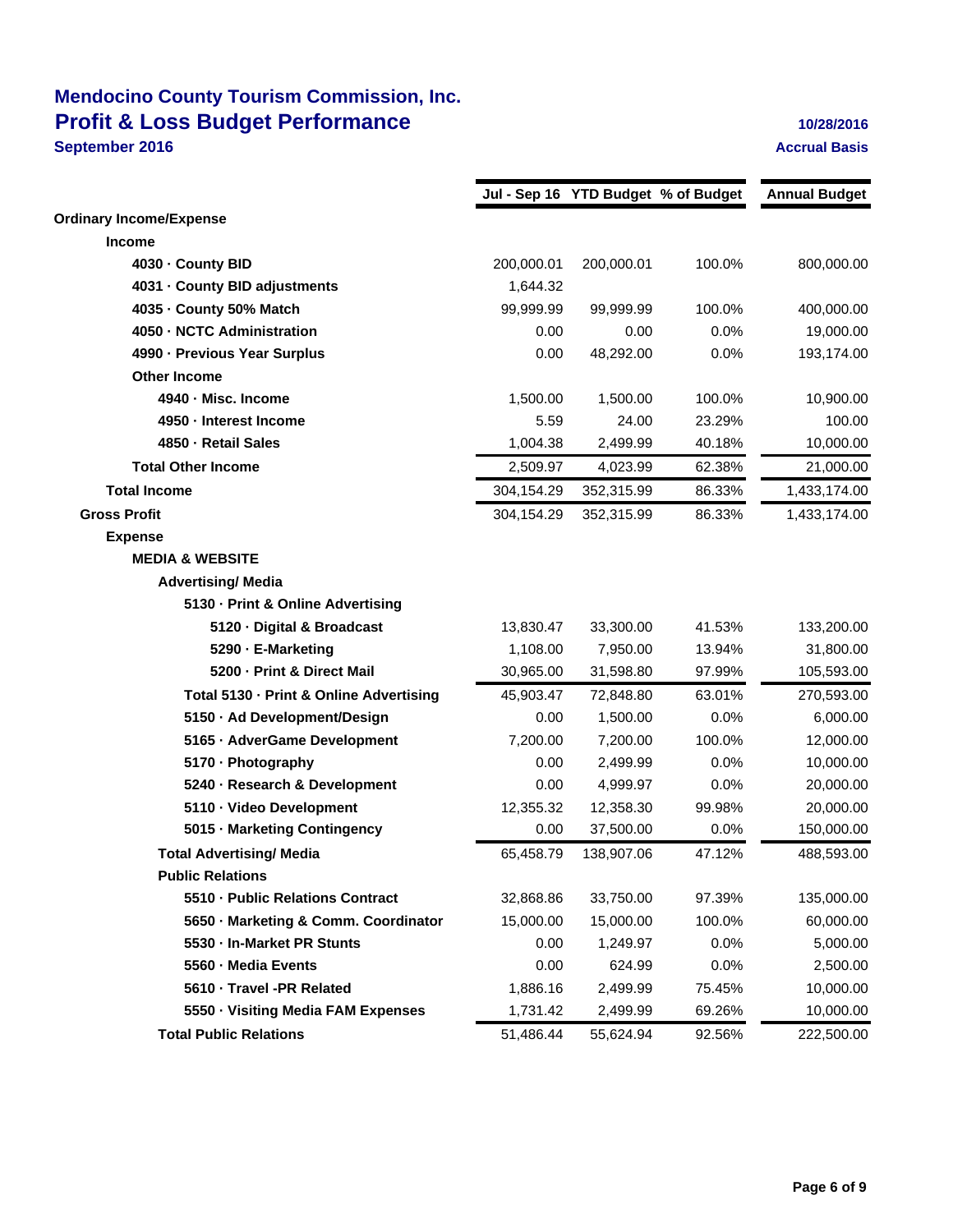# **Mendocino County Tourism Commission, Inc. Profit & Loss Budget Performance 10/28/2016 September 2016 Accrual Basis**

|                                         |            | Jul - Sep 16 YTD Budget % of Budget |        | <b>Annual Budget</b> |
|-----------------------------------------|------------|-------------------------------------|--------|----------------------|
| <b>Ordinary Income/Expense</b>          |            |                                     |        |                      |
| <b>Income</b>                           |            |                                     |        |                      |
| 4030 - County BID                       | 200,000.01 | 200,000.01                          | 100.0% | 800,000.00           |
| 4031 - County BID adjustments           | 1,644.32   |                                     |        |                      |
| 4035 - County 50% Match                 | 99,999.99  | 99,999.99                           | 100.0% | 400,000.00           |
| 4050 - NCTC Administration              | 0.00       | 0.00                                | 0.0%   | 19,000.00            |
| 4990 - Previous Year Surplus            | 0.00       | 48,292.00                           | 0.0%   | 193,174.00           |
| <b>Other Income</b>                     |            |                                     |        |                      |
| 4940 - Misc. Income                     | 1,500.00   | 1,500.00                            | 100.0% | 10,900.00            |
| 4950 - Interest Income                  | 5.59       | 24.00                               | 23.29% | 100.00               |
| 4850 - Retail Sales                     | 1,004.38   | 2,499.99                            | 40.18% | 10,000.00            |
| <b>Total Other Income</b>               | 2,509.97   | 4,023.99                            | 62.38% | 21,000.00            |
| <b>Total Income</b>                     | 304,154.29 | 352,315.99                          | 86.33% | 1,433,174.00         |
| <b>Gross Profit</b>                     | 304,154.29 | 352,315.99                          | 86.33% | 1,433,174.00         |
| <b>Expense</b>                          |            |                                     |        |                      |
| <b>MEDIA &amp; WEBSITE</b>              |            |                                     |        |                      |
| <b>Advertising/ Media</b>               |            |                                     |        |                      |
| 5130 - Print & Online Advertising       |            |                                     |        |                      |
| 5120 - Digital & Broadcast              | 13,830.47  | 33,300.00                           | 41.53% | 133,200.00           |
| 5290 - E-Marketing                      | 1,108.00   | 7,950.00                            | 13.94% | 31,800.00            |
| 5200 - Print & Direct Mail              | 30,965.00  | 31,598.80                           | 97.99% | 105,593.00           |
| Total 5130 - Print & Online Advertising | 45,903.47  | 72,848.80                           | 63.01% | 270,593.00           |
| 5150 - Ad Development/Design            | 0.00       | 1,500.00                            | 0.0%   | 6,000.00             |
| 5165 - AdverGame Development            | 7,200.00   | 7,200.00                            | 100.0% | 12,000.00            |
| 5170 - Photography                      | 0.00       | 2,499.99                            | 0.0%   | 10,000.00            |
| 5240 - Research & Development           | 0.00       | 4,999.97                            | 0.0%   | 20,000.00            |
| 5110 Video Development                  | 12,355.32  | 12,358.30                           | 99.98% | 20,000.00            |
| 5015 Marketing Contingency              | 0.00       | 37,500.00                           | 0.0%   | 150,000.00           |
| <b>Total Advertising/ Media</b>         | 65,458.79  | 138,907.06                          | 47.12% | 488,593.00           |
| <b>Public Relations</b>                 |            |                                     |        |                      |
| 5510 Public Relations Contract          | 32,868.86  | 33,750.00                           | 97.39% | 135,000.00           |
| 5650 Marketing & Comm. Coordinator      | 15,000.00  | 15,000.00                           | 100.0% | 60,000.00            |
| 5530 In-Market PR Stunts                | 0.00       | 1,249.97                            | 0.0%   | 5,000.00             |
| 5560 - Media Events                     | 0.00       | 624.99                              | 0.0%   | 2,500.00             |
| 5610 Travel -PR Related                 | 1,886.16   | 2,499.99                            | 75.45% | 10,000.00            |
| 5550 Visiting Media FAM Expenses        | 1,731.42   | 2,499.99                            | 69.26% | 10,000.00            |
| <b>Total Public Relations</b>           | 51,486.44  | 55,624.94                           | 92.56% | 222,500.00           |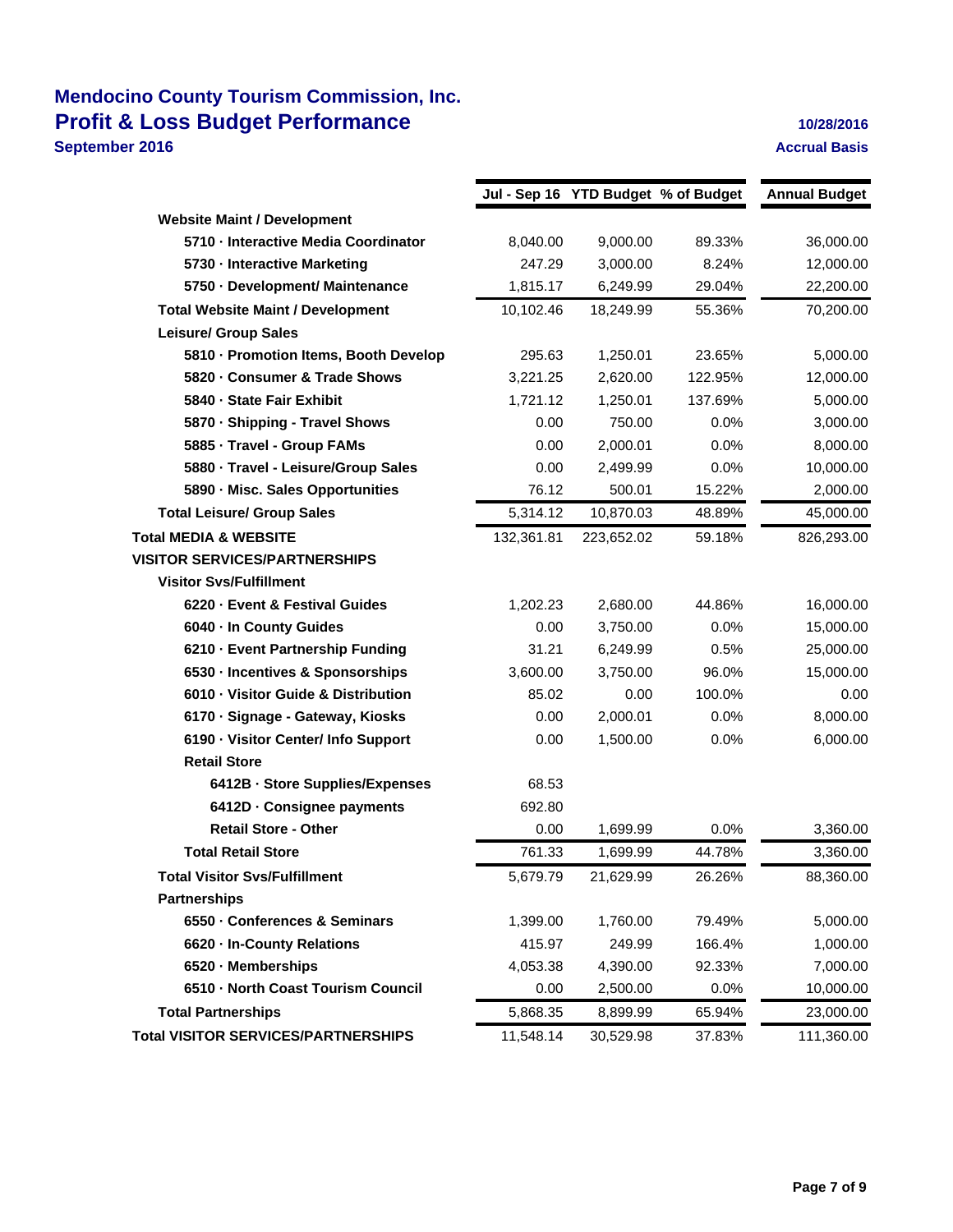# **Mendocino County Tourism Commission, Inc. Profit & Loss Budget Performance 10/28/2016 September 2016 Accrual Basis**

|                                            |            | Jul - Sep 16 YTD Budget % of Budget |         | <b>Annual Budget</b> |
|--------------------------------------------|------------|-------------------------------------|---------|----------------------|
| <b>Website Maint / Development</b>         |            |                                     |         |                      |
| 5710 - Interactive Media Coordinator       | 8,040.00   | 9,000.00                            | 89.33%  | 36,000.00            |
| 5730 Interactive Marketing                 | 247.29     | 3,000.00                            | 8.24%   | 12,000.00            |
| 5750 Development/ Maintenance              | 1,815.17   | 6,249.99                            | 29.04%  | 22,200.00            |
| <b>Total Website Maint / Development</b>   | 10,102.46  | 18,249.99                           | 55.36%  | 70,200.00            |
| <b>Leisure/ Group Sales</b>                |            |                                     |         |                      |
| 5810 - Promotion Items, Booth Develop      | 295.63     | 1,250.01                            | 23.65%  | 5,000.00             |
| 5820 - Consumer & Trade Shows              | 3,221.25   | 2,620.00                            | 122.95% | 12,000.00            |
| 5840 - State Fair Exhibit                  | 1,721.12   | 1,250.01                            | 137.69% | 5,000.00             |
| 5870 · Shipping - Travel Shows             | 0.00       | 750.00                              | 0.0%    | 3,000.00             |
| 5885 Travel - Group FAMs                   | 0.00       | 2,000.01                            | 0.0%    | 8,000.00             |
| 5880 · Travel - Leisure/Group Sales        | 0.00       | 2,499.99                            | 0.0%    | 10,000.00            |
| 5890 - Misc. Sales Opportunities           | 76.12      | 500.01                              | 15.22%  | 2,000.00             |
| <b>Total Leisure/ Group Sales</b>          | 5,314.12   | 10,870.03                           | 48.89%  | 45,000.00            |
| <b>Total MEDIA &amp; WEBSITE</b>           | 132,361.81 | 223,652.02                          | 59.18%  | 826,293.00           |
| <b>VISITOR SERVICES/PARTNERSHIPS</b>       |            |                                     |         |                      |
| <b>Visitor Svs/Fulfillment</b>             |            |                                     |         |                      |
| 6220 Event & Festival Guides               | 1,202.23   | 2,680.00                            | 44.86%  | 16,000.00            |
| 6040 In County Guides                      | 0.00       | 3,750.00                            | 0.0%    | 15,000.00            |
| 6210 - Event Partnership Funding           | 31.21      | 6,249.99                            | 0.5%    | 25,000.00            |
| 6530 - Incentives & Sponsorships           | 3,600.00   | 3,750.00                            | 96.0%   | 15,000.00            |
| 6010 Visitor Guide & Distribution          | 85.02      | 0.00                                | 100.0%  | 0.00                 |
| 6170 - Signage - Gateway, Kiosks           | 0.00       | 2,000.01                            | 0.0%    | 8,000.00             |
| 6190 - Visitor Center/ Info Support        | 0.00       | 1,500.00                            | 0.0%    | 6,000.00             |
| <b>Retail Store</b>                        |            |                                     |         |                      |
| 6412B - Store Supplies/Expenses            | 68.53      |                                     |         |                      |
| 6412D - Consignee payments                 | 692.80     |                                     |         |                      |
| <b>Retail Store - Other</b>                | 0.00       | 1,699.99                            | 0.0%    | 3,360.00             |
| <b>Total Retail Store</b>                  | 761.33     | 1,699.99                            | 44.78%  | 3,360.00             |
| <b>Total Visitor Svs/Fulfillment</b>       | 5,679.79   | 21,629.99                           | 26.26%  | 88,360.00            |
| <b>Partnerships</b>                        |            |                                     |         |                      |
| 6550 - Conferences & Seminars              | 1,399.00   | 1,760.00                            | 79.49%  | 5,000.00             |
| 6620 · In-County Relations                 | 415.97     | 249.99                              | 166.4%  | 1,000.00             |
| 6520 Memberships                           | 4,053.38   | 4,390.00                            | 92.33%  | 7,000.00             |
| 6510 - North Coast Tourism Council         | 0.00       | 2,500.00                            | 0.0%    | 10,000.00            |
| <b>Total Partnerships</b>                  | 5,868.35   | 8,899.99                            | 65.94%  | 23,000.00            |
| <b>Total VISITOR SERVICES/PARTNERSHIPS</b> | 11,548.14  | 30,529.98                           | 37.83%  | 111,360.00           |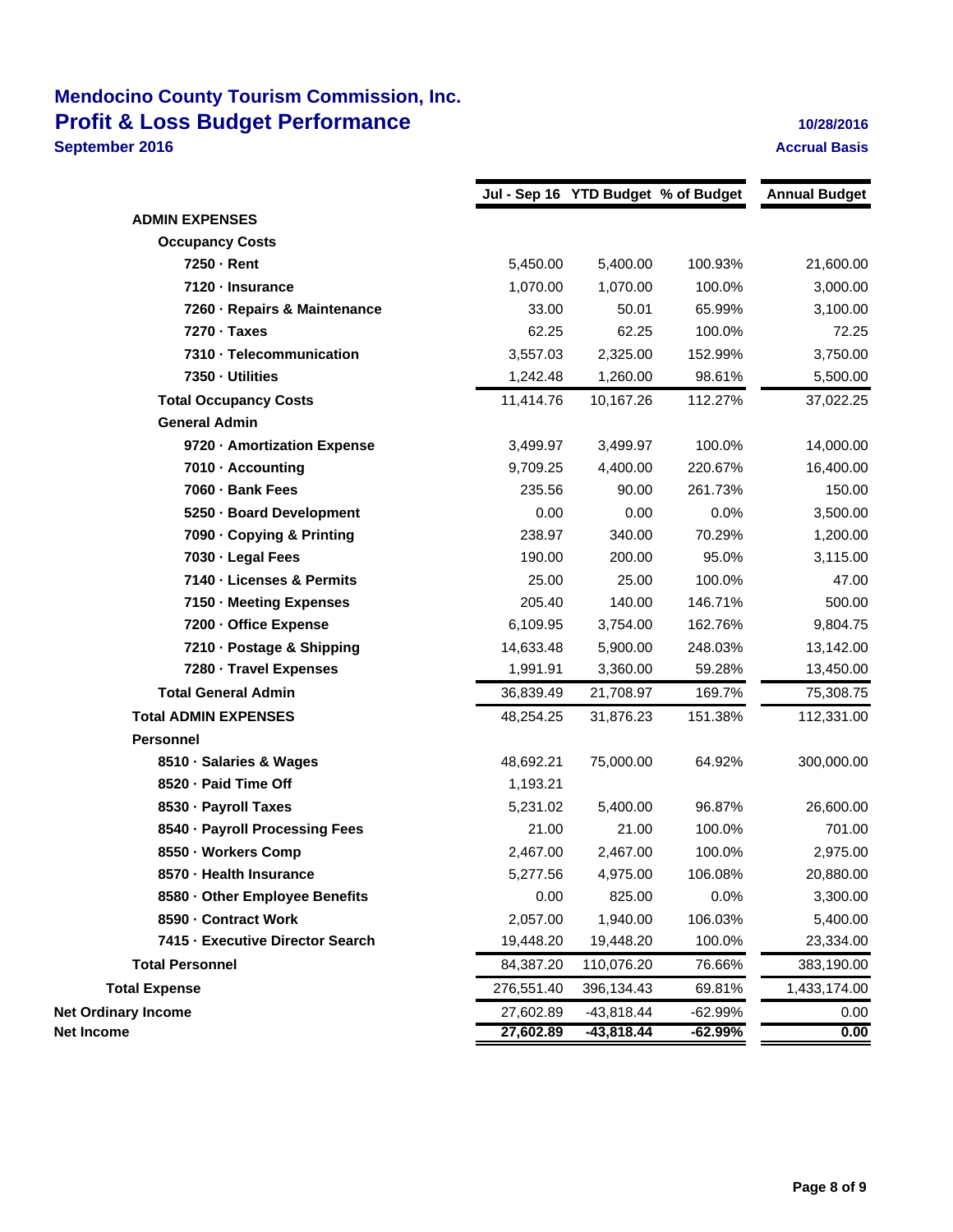## **Mendocino County Tourism Commission, Inc. Profit & Loss Budget Performance 10/28/2016 September 2016 Accrual Basis Accrual Basis**

|                                  |            |              | Jul - Sep 16 YTD Budget % of Budget | <b>Annual Budget</b> |
|----------------------------------|------------|--------------|-------------------------------------|----------------------|
| <b>ADMIN EXPENSES</b>            |            |              |                                     |                      |
| <b>Occupancy Costs</b>           |            |              |                                     |                      |
| 7250 Rent                        | 5,450.00   | 5,400.00     | 100.93%                             | 21,600.00            |
| 7120 Insurance                   | 1,070.00   | 1,070.00     | 100.0%                              | 3,000.00             |
| 7260 Repairs & Maintenance       | 33.00      | 50.01        | 65.99%                              | 3,100.00             |
| 7270 · Taxes                     | 62.25      | 62.25        | 100.0%                              | 72.25                |
| 7310 Telecommunication           | 3,557.03   | 2,325.00     | 152.99%                             | 3,750.00             |
| 7350 Utilities                   | 1,242.48   | 1,260.00     | 98.61%                              | 5,500.00             |
| <b>Total Occupancy Costs</b>     | 11,414.76  | 10,167.26    | 112.27%                             | 37,022.25            |
| <b>General Admin</b>             |            |              |                                     |                      |
| 9720 - Amortization Expense      | 3,499.97   | 3,499.97     | 100.0%                              | 14,000.00            |
| 7010 - Accounting                | 9,709.25   | 4,400.00     | 220.67%                             | 16,400.00            |
| 7060 - Bank Fees                 | 235.56     | 90.00        | 261.73%                             | 150.00               |
| 5250 Board Development           | 0.00       | 0.00         | 0.0%                                | 3,500.00             |
| 7090 Copying & Printing          | 238.97     | 340.00       | 70.29%                              | 1,200.00             |
| 7030 Legal Fees                  | 190.00     | 200.00       | 95.0%                               | 3,115.00             |
| 7140 Licenses & Permits          | 25.00      | 25.00        | 100.0%                              | 47.00                |
| 7150 - Meeting Expenses          | 205.40     | 140.00       | 146.71%                             | 500.00               |
| 7200 Office Expense              | 6,109.95   | 3,754.00     | 162.76%                             | 9,804.75             |
| 7210 - Postage & Shipping        | 14,633.48  | 5,900.00     | 248.03%                             | 13,142.00            |
| 7280 Travel Expenses             | 1,991.91   | 3,360.00     | 59.28%                              | 13,450.00            |
| <b>Total General Admin</b>       | 36,839.49  | 21,708.97    | 169.7%                              | 75,308.75            |
| <b>Total ADMIN EXPENSES</b>      | 48,254.25  | 31,876.23    | 151.38%                             | 112,331.00           |
| <b>Personnel</b>                 |            |              |                                     |                      |
| 8510 · Salaries & Wages          | 48,692.21  | 75,000.00    | 64.92%                              | 300,000.00           |
| 8520 - Paid Time Off             | 1,193.21   |              |                                     |                      |
| 8530 - Payroll Taxes             | 5,231.02   | 5,400.00     | 96.87%                              | 26,600.00            |
| 8540 - Payroll Processing Fees   | 21.00      | 21.00        | 100.0%                              | 701.00               |
| 8550 Workers Comp                | 2,467.00   | 2,467.00     | 100.0%                              | 2,975.00             |
| 8570 - Health Insurance          | 5,277.56   | 4,975.00     | 106.08%                             | 20,880.00            |
| 8580 - Other Employee Benefits   | 0.00       | 825.00       | 0.0%                                | 3,300.00             |
| 8590 - Contract Work             | 2,057.00   | 1,940.00     | 106.03%                             | 5,400.00             |
| 7415 - Executive Director Search | 19,448.20  | 19,448.20    | 100.0%                              | 23,334.00            |
| <b>Total Personnel</b>           | 84,387.20  | 110,076.20   | 76.66%                              | 383,190.00           |
| <b>Total Expense</b>             | 276,551.40 | 396,134.43   | 69.81%                              | 1,433,174.00         |
| <b>Net Ordinary Income</b>       | 27,602.89  | $-43,818.44$ | $-62.99%$                           | 0.00                 |
| Net Income                       | 27,602.89  | -43,818.44   | $-62.99%$                           | 0.00                 |